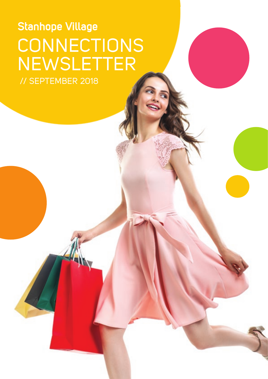# CONNECTIONS **NEWSLETTER** Stanhope Village // SEPTEMBER 2018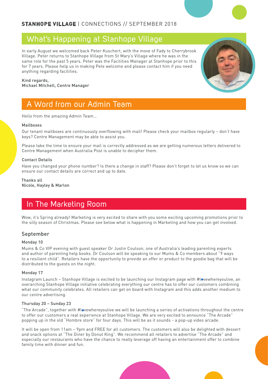### **STANHOPE VILLAGE** | CONNECTIONS // SEPTEMBER 2018

### What's Happening at Stanhope Village

In early August we welcomed back Peter Kuschert, with the move of Fady to Cherrybrook Village. Peter returns to Stanhope Village from St Mary's Village where he was in the same role for the past 5 years. Peter was the Facilities Manager at Stanhope prior to this for 7 years. Please help us in making Pete welcome and please contact him if you need anything regarding facilities.



Kind regards, Michael Mitchell, Centre Manager

### A Word from our Admin Team

Hello from the amazing Admin Team…

#### Mailboxes

Our tenant mailboxes are continuously overflowing with mail! Please check your mailbox regularly – don't have keys? Centre Management may be able to assist you.

Please take the time to ensure your mail is correctly addressed as we are getting numerous letters delivered to Centre Management when Australia Post is unable to decipher them.

#### Contact Details

Have you changed your phone number? Is there a change in staff? Please don't forget to let us know so we can ensure our contact details are correct and up to date.

Thanks all Nicole, Hayley & Marlon

### In The Marketing Room

Wow, it's Spring already! Marketing is very excited to share with you some exciting upcoming promotions prior to the silly season of Christmas. Please see below what is happening in Marketing and how you can get involved.

#### September

#### Monday 10

Mums & Co VIP evening with guest speaker Dr Justin Coulson, one of Australia's leading parenting experts and author of parenting help books. Dr Coulson will be speaking to our Mums & Co members about "9 ways to a resilient child". Retailers have the opportunity to provide an offer or product to the goodie bag that will be distributed to the guests on the night.

#### Monday 17

Instagram Launch – Stanhope Village is excited to be launching our Instagram page with #lwvewhereyoulive, an overarching Stanhope Village initiative celebrating everything our centre has to offer our customers combining what our community celebrates. All retailers can get on board with Instagram and this adds another medium to our centre advertising.

#### Thursday 20 – Sunday 23

"The Arcade", together with #lovewhereyoulive we will be launching a series of activations throughout the centre to offer our customers a real experience at Stanhope Village. We are very excited to announce "The Arcade" popping up in the old "Hombre store" for four days. This will be as it sounds - a pop-up video arcade.

It will be open from 11am – 9pm and FREE for all customers. The customers will also be delighted with dessert and snack options at "The Diner by Donut King". We recommend all retailers to advertise "The Arcade" and especially our restaurants who have the chance to really leverage off having an entertainment offer to combine family time with dinner and fun.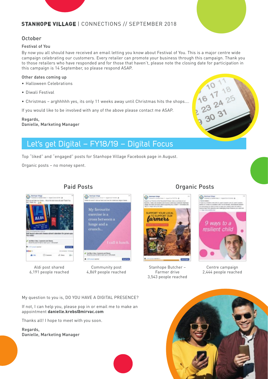### **STANHOPE VILLAGE** | CONNECTIONS // SEPTEMBER 2018



### October

#### Festival of You

By now you all should have received an email letting you know about Festival of You. This is a major centre wide campaign celebrating our customers. Every retailer can promote your business through this campaign. Thank you to those retailers who have responded and for those that haven't, please note the closing date for participation in this campaign is 14 September, so please respond ASAP.

#### Other dates coming up

- Halloween Celebrations
- Diwali Festival
- Christmas arghhhhh yes, its only 11 weeks away until Christmas hits the shops….

If you would like to be involved with any of the above please contact me ASAP.

#### Regards, Danielle, Marketing Manager



## Let's get Digital – FY18/19 – Digital Focus

Top "liked" and "engaged" posts for Stanhope Village Facebook page in August.

Organic posts – no money spent.



Aldi post shared 6,191 people reached

### Paid Posts



Community post 4,869 people reached

### Organic Posts



Stanhope Butcher – Farmer drive 3,543 people reached



Centre campaign 2,444 people reached

My question to you is, DO YOU HAVE A DIGITAL PRESENCE?

If not, I can help you, please pop in or email me to make an appointment **danielle.krebs@mirvac.com**

Thanks all! I hope to meet with you soon.

Regards, Danielle, Marketing Manager